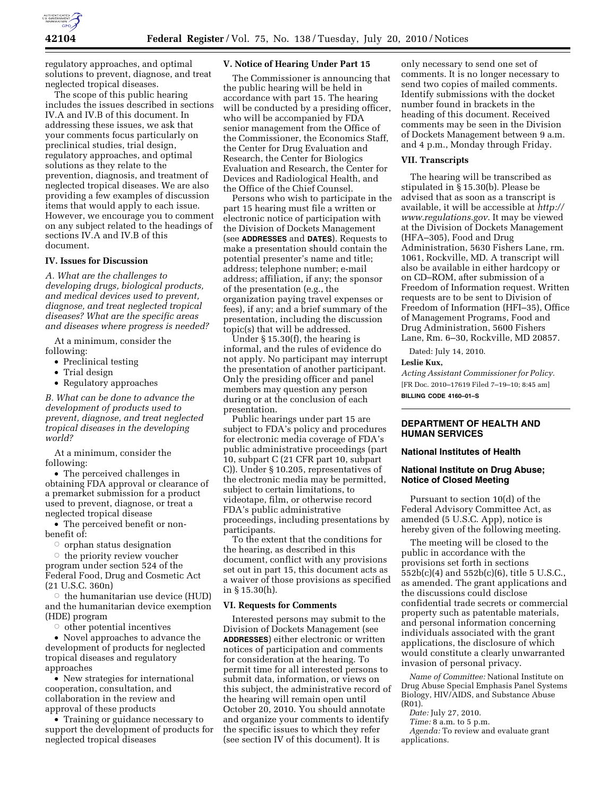

regulatory approaches, and optimal solutions to prevent, diagnose, and treat neglected tropical diseases.

The scope of this public hearing includes the issues described in sections IV.A and IV.B of this document. In addressing these issues, we ask that your comments focus particularly on preclinical studies, trial design, regulatory approaches, and optimal solutions as they relate to the prevention, diagnosis, and treatment of neglected tropical diseases. We are also providing a few examples of discussion items that would apply to each issue. However, we encourage you to comment on any subject related to the headings of sections IV.A and IV.B of this document.

### **IV. Issues for Discussion**

*A. What are the challenges to developing drugs, biological products, and medical devices used to prevent, diagnose, and treat neglected tropical diseases? What are the specific areas and diseases where progress is needed?* 

At a minimum, consider the following:

- Preclinical testing
- Trial design
- Regulatory approaches

*B. What can be done to advance the development of products used to prevent, diagnose, and treat neglected tropical diseases in the developing world?* 

At a minimum, consider the following:

• The perceived challenges in obtaining FDA approval or clearance of a premarket submission for a product used to prevent, diagnose, or treat a neglected tropical disease

• The perceived benefit or nonbenefit of:

 $\circ$  orphan status designation

 $\circ$  the priority review voucher program under section 524 of the Federal Food, Drug and Cosmetic Act (21 U.S.C. 360n)

 $\circ$  the humanitarian use device (HUD) and the humanitarian device exemption (HDE) program

 $\circ$  other potential incentives

• Novel approaches to advance the development of products for neglected tropical diseases and regulatory approaches

• New strategies for international cooperation, consultation, and collaboration in the review and approval of these products

• Training or guidance necessary to support the development of products for neglected tropical diseases

#### **V. Notice of Hearing Under Part 15**

The Commissioner is announcing that the public hearing will be held in accordance with part 15. The hearing will be conducted by a presiding officer, who will be accompanied by FDA senior management from the Office of the Commissioner, the Economics Staff, the Center for Drug Evaluation and Research, the Center for Biologics Evaluation and Research, the Center for Devices and Radiological Health, and the Office of the Chief Counsel.

Persons who wish to participate in the part 15 hearing must file a written or electronic notice of participation with the Division of Dockets Management (see **ADDRESSES** and **DATES**). Requests to make a presentation should contain the potential presenter's name and title; address; telephone number; e-mail address; affiliation, if any; the sponsor of the presentation (e.g., the organization paying travel expenses or fees), if any; and a brief summary of the presentation, including the discussion topic(s) that will be addressed.

Under § 15.30(f), the hearing is informal, and the rules of evidence do not apply. No participant may interrupt the presentation of another participant. Only the presiding officer and panel members may question any person during or at the conclusion of each presentation.

Public hearings under part 15 are subject to FDA's policy and procedures for electronic media coverage of FDA's public administrative proceedings (part 10, subpart C (21 CFR part 10, subpart C)). Under § 10.205, representatives of the electronic media may be permitted, subject to certain limitations, to videotape, film, or otherwise record FDA's public administrative proceedings, including presentations by participants.

To the extent that the conditions for the hearing, as described in this document, conflict with any provisions set out in part 15, this document acts as a waiver of those provisions as specified in § 15.30(h).

#### **VI. Requests for Comments**

Interested persons may submit to the Division of Dockets Management (see **ADDRESSES**) either electronic or written notices of participation and comments for consideration at the hearing. To permit time for all interested persons to submit data, information, or views on this subject, the administrative record of the hearing will remain open until October 20, 2010. You should annotate and organize your comments to identify the specific issues to which they refer (see section IV of this document). It is

only necessary to send one set of comments. It is no longer necessary to send two copies of mailed comments. Identify submissions with the docket number found in brackets in the heading of this document. Received comments may be seen in the Division of Dockets Management between 9 a.m. and 4 p.m., Monday through Friday.

#### **VII. Transcripts**

The hearing will be transcribed as stipulated in § 15.30(b). Please be advised that as soon as a transcript is available, it will be accessible at *http:// www.regulations.gov*. It may be viewed at the Division of Dockets Management (HFA–305), Food and Drug Administration, 5630 Fishers Lane, rm. 1061, Rockville, MD. A transcript will also be available in either hardcopy or on CD–ROM, after submission of a Freedom of Information request. Written requests are to be sent to Division of Freedom of Information (HFI–35), Office of Management Programs, Food and Drug Administration, 5600 Fishers Lane, Rm. 6–30, Rockville, MD 20857.

Dated: July 14, 2010.

**Leslie Kux,** 

*Acting Assistant Commissioner for Policy.*  [FR Doc. 2010–17619 Filed 7–19–10; 8:45 am] **BILLING CODE 4160–01–S** 

### **DEPARTMENT OF HEALTH AND HUMAN SERVICES**

#### **National Institutes of Health**

### **National Institute on Drug Abuse; Notice of Closed Meeting**

Pursuant to section 10(d) of the Federal Advisory Committee Act, as amended (5 U.S.C. App), notice is hereby given of the following meeting.

The meeting will be closed to the public in accordance with the provisions set forth in sections 552b(c)(4) and 552b(c)(6), title 5 U.S.C., as amended. The grant applications and the discussions could disclose confidential trade secrets or commercial property such as patentable materials, and personal information concerning individuals associated with the grant applications, the disclosure of which would constitute a clearly unwarranted invasion of personal privacy.

*Name of Committee:* National Institute on Drug Abuse Special Emphasis Panel Systems Biology, HIV/AIDS, and Substance Abuse (R01).

- *Date:* July 27, 2010.
- *Time:* 8 a.m. to 5 p.m.
- *Agenda:* To review and evaluate grant applications.